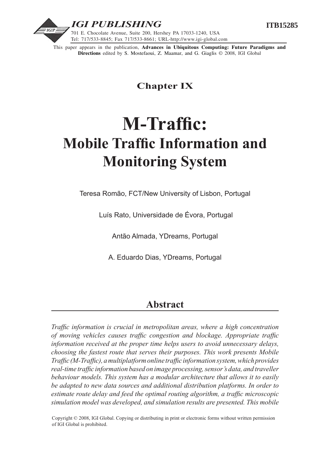

This paper appears in the publication, **Advances in Ubiquitous Computing: Future Paradigms and Directions** edited by S. Mostefaoui, Z. Maamar, and G. Giaglis © 2008, IGI Global

# **Chapter IX**

# **M-Traffic: Mobile Traffic Information and Monitoring System**

Teresa Romão, FCT/New University of Lisbon, Portugal

Luís Rato, Universidade de Évora, Portugal

Antão Almada, YDreams, Portugal

A. Eduardo Dias, YDreams, Portugal

## **Abstract**

*Traffic information is crucial in metropolitan areas, where a high concentration of moving vehicles causes traffic congestion and blockage. Appropriate traffic information received at the proper time helps users to avoid unnecessary delays, choosing the fastest route that serves their purposes. This work presents Mobile Traffic (M-Traffic), a multiplatform online traffic information system, which provides real-time traffic information based on image processing, sensor's data, and traveller behaviour models. This system has a modular architecture that allows it to easily be adapted to new data sources and additional distribution platforms. In order to estimate route delay and feed the optimal routing algorithm, a traffic microscopic simulation model was developed, and simulation results are presented. This mobile* 

Copyright © 2008, IGI Global. Copying or distributing in print or electronic forms without written permission of IGI Global is prohibited.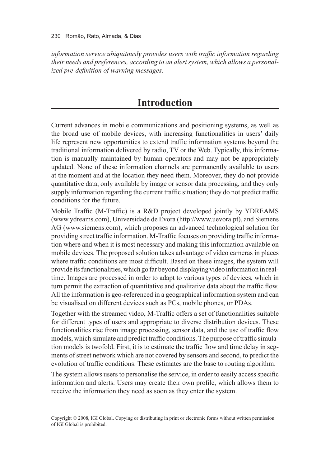*information service ubiquitously provides users with traffic information regarding their needs and preferences, according to an alert system, which allows a personalized pre-definition of warning messages.*

## **Introduction**

Current advances in mobile communications and positioning systems, as well as the broad use of mobile devices, with increasing functionalities in users' daily life represent new opportunities to extend traffic information systems beyond the traditional information delivered by radio, TV or the Web. Typically, this information is manually maintained by human operators and may not be appropriately updated. None of these information channels are permanently available to users at the moment and at the location they need them. Moreover, they do not provide quantitative data, only available by image or sensor data processing, and they only supply information regarding the current traffic situation; they do not predict traffic conditions for the future.

Mobile Traffic (M-Traffic) is a R&D project developed jointly by YDREAMS (www.ydreams.com), Universidade de Évora (http://www.uevora.pt), and Siemens AG (www.siemens.com), which proposes an advanced technological solution for providing street traffic information. M-Traffic focuses on providing traffic information where and when it is most necessary and making this information available on mobile devices. The proposed solution takes advantage of video cameras in places where traffic conditions are most difficult. Based on these images, the system will provide its functionalities, which go far beyond displaying video information in realtime. Images are processed in order to adapt to various types of devices, which in turn permit the extraction of quantitative and qualitative data about the traffic flow. All the information is geo-referenced in a geographical information system and can be visualised on different devices such as PCs, mobile phones, or PDAs.

Together with the streamed video, M-Traffic offers a set of functionalities suitable for different types of users and appropriate to diverse distribution devices. These functionalities rise from image processing, sensor data, and the use of traffic flow models, which simulate and predict traffic conditions. The purpose of traffic simulation models is twofold. First, it is to estimate the traffic flow and time delay in segments of street network which are not covered by sensors and second, to predict the evolution of traffic conditions. These estimates are the base to routing algorithm.

The system allows users to personalise the service, in order to easily access specific information and alerts. Users may create their own profile, which allows them to receive the information they need as soon as they enter the system.